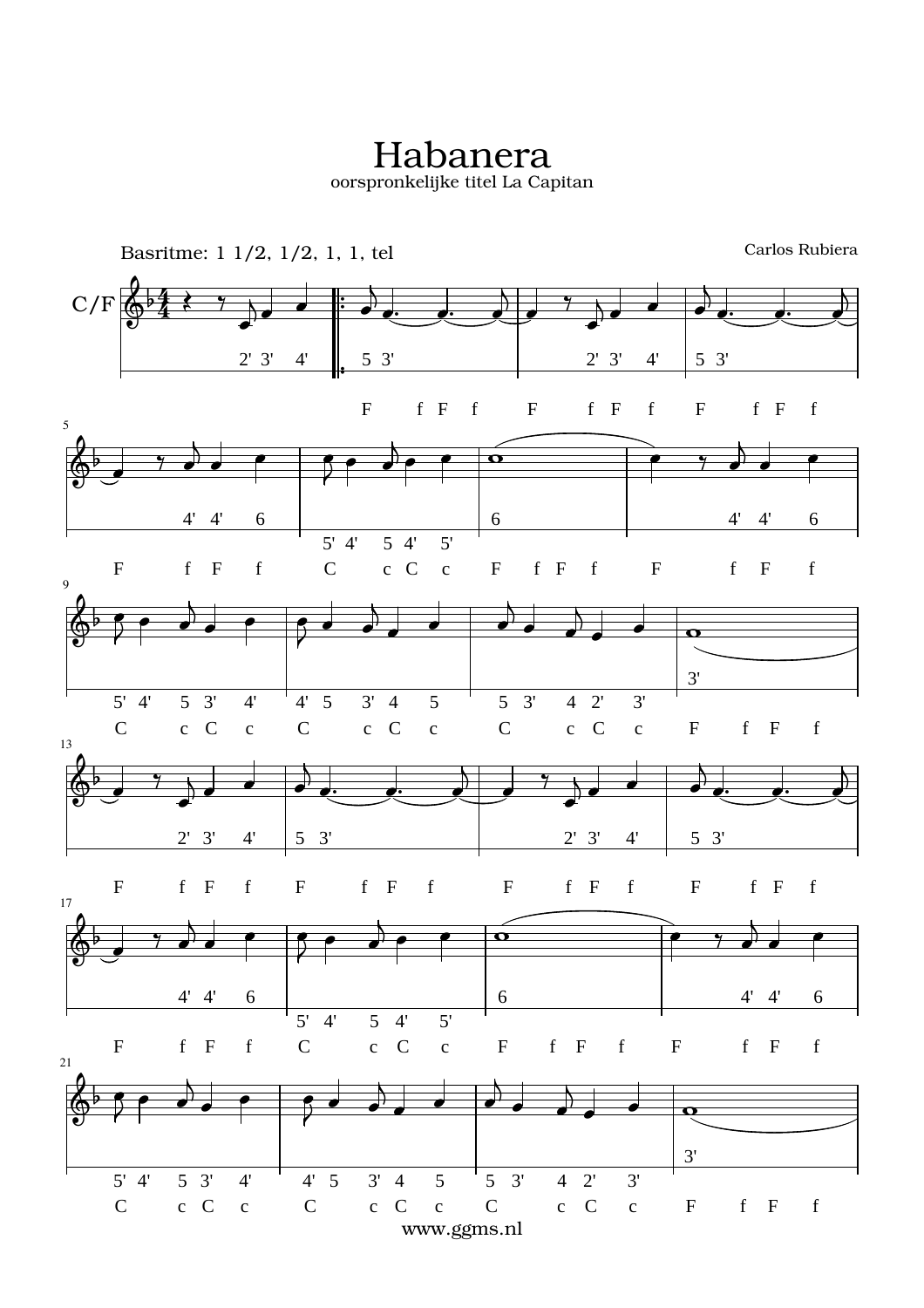Habanera oorspronkelijke titel La Capitan